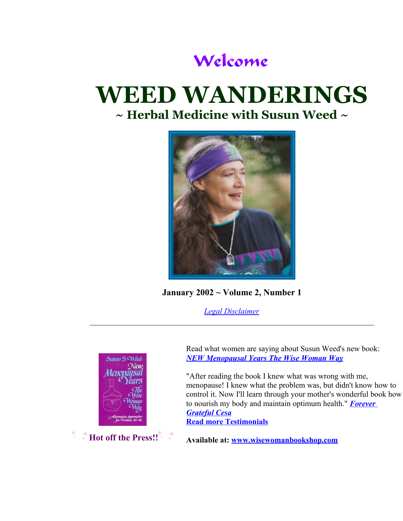

# **WEED WANDERINGS ~ Herbal Medicine with Susun Weed ~**



**January 2002 ~ Volume 2, Number 1**

*[Legal Disclaimer](http://www.susunweed.com/herbal_ezine/Weed_letter_Jan-02.htm#legalese)*





Read what women are saying about Susun Weed's new book: *[NEW Menopausal Years The Wise Woman Way](http://www.susunweed.com/herbal_ezine/Weed_letter_Nov-01.htm#book)*

"After reading the book I knew what was wrong with me, menopause! I knew what the problem was, but didn't know how to control it. Now I'll learn through your mother's wonderful book how to nourish my body and maintain optimum health." *[Forever](http://www.susunweed.com/A_book_testimonial_1.htm)  [Grateful Cesa](http://www.susunweed.com/A_book_testimonial_1.htm)* **[Read more Testimonials](http://www.susunweed.com/A_book_testimonial_2.htm)**

**Available at: [www.wisewomanbookshop.com](http://www.herbalmedicinehealing.com/)**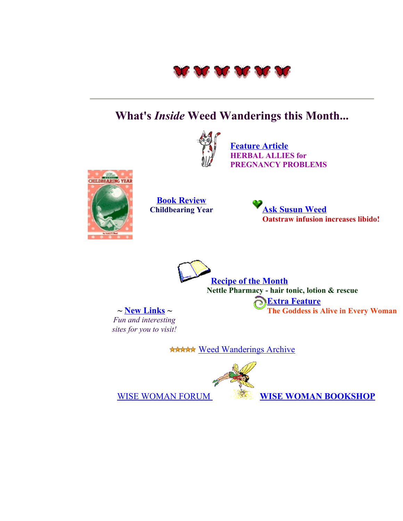

# **What's** *Inside* **Weed Wanderings this Month...**



**[Feature Article](http://www.susunweed.com/herbal_ezine/Weed_letter_Jan-02.htm#article) HERBAL ALLIES for PREGNANCY PROBLEMS**



**[Book Review](http://www.susunweed.com/herbal_ezine/Weed_letter_Jan-02.htm#book)**

**Childbearing Year [Ask Susun Weed](http://www.susunweed.com/herbal_ezine/Weed_letter_Jan-02.htm#question) Oatstraw infusion increases libido!**



**[Recipe of the Month](http://www.susunweed.com/herbal_ezine/Weed_letter_Jan-02.htm#recipe) Nettle Pharmacy - hair tonic, lotion & rescue**

**~ [New Links](http://www.susunweed.com/herbal_ezine/Weed_letter_Jan-02.htm#links) ~** *Fun and interesting sites for you to visit!* **[Extra Feature](http://www.susunweed.com/herbal_ezine/Weed_letter_Jan-02.htm#surprise) The Goddess is Alive in Every Woman**

\*\*\*\*\* [Weed Wanderings Archive](http://www.susunweed.com/Weed_letter_Archive.htm)

WISE WOMAN FORUM [WISE WOMAN BOOKSHOP](http://www.herbshealing.com/wisewomanforum.htm)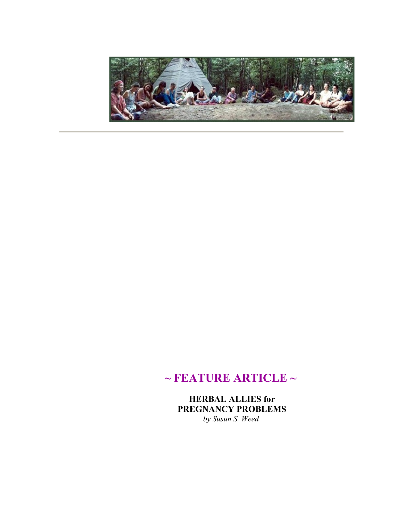

# **~ FEATURE ARTICLE ~**

**HERBAL ALLIES for PREGNANCY PROBLEMS** *by Susun S. Weed*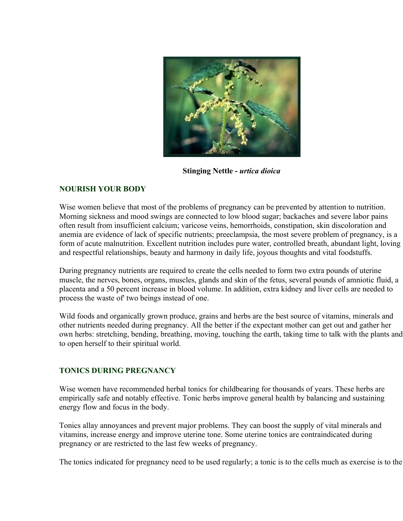

**Stinging Nettle -** *urtica dioica*

### **NOURISH YOUR BODY**

Wise women believe that most of the problems of pregnancy can be prevented by attention to nutrition. Morning sickness and mood swings are connected to low blood sugar; backaches and severe labor pains often result from insufficient calcium; varicose veins, hemorrhoids, constipation, skin discoloration and anemia are evidence of lack of specific nutrients; preeclampsia, the most severe problem of pregnancy, is a form of acute malnutrition. Excellent nutrition includes pure water, controlled breath, abundant light, loving and respectful relationships, beauty and harmony in daily life, joyous thoughts and vital foodstuffs.

During pregnancy nutrients are required to create the cells needed to form two extra pounds of uterine muscle, the nerves, bones, organs, muscles, glands and skin of the fetus, several pounds of amniotic fluid, a placenta and a 50 percent increase in blood volume. In addition, extra kidney and liver cells are needed to process the waste of' two beings instead of one.

Wild foods and organically grown produce, grains and herbs are the best source of vitamins, minerals and other nutrients needed during pregnancy. All the better if the expectant mother can get out and gather her own herbs: stretching, bending, breathing, moving, touching the earth, taking time to talk with the plants and to open herself to their spiritual world.

### **TONICS DURING PREGNANCY**

Wise women have recommended herbal tonics for childbearing for thousands of years. These herbs are empirically safe and notably effective. Tonic herbs improve general health by balancing and sustaining energy flow and focus in the body.

Tonics allay annoyances and prevent major problems. They can boost the supply of vital minerals and vitamins, increase energy and improve uterine tone. Some uterine tonics are contraindicated during pregnancy or are restricted to the last few weeks of pregnancy.

The tonics indicated for pregnancy need to be used regularly; a tonic is to the cells much as exercise is to the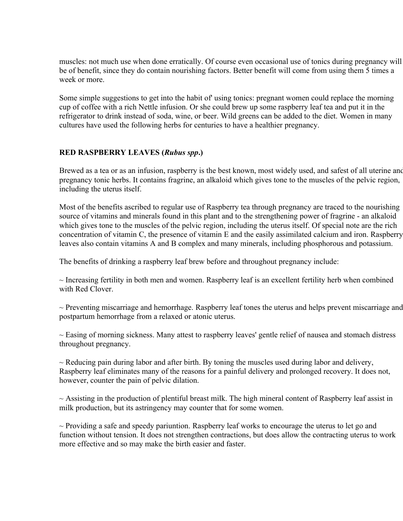muscles: not much use when done erratically. Of course even occasional use of tonics during pregnancy will be of benefit, since they do contain nourishing factors. Better benefit will come from using them 5 times a week or more.

Some simple suggestions to get into the habit of' using tonics: pregnant women could replace the morning cup of coffee with a rich Nettle infusion. Or she could brew up some raspberry leaf tea and put it in the refrigerator to drink instead of soda, wine, or beer. Wild greens can be added to the diet. Women in many cultures have used the following herbs for centuries to have a healthier pregnancy.

#### **RED RASPBERRY LEAVES (***Rubus spp***.)**

Brewed as a tea or as an infusion, raspberry is the best known, most widely used, and safest of all uterine and pregnancy tonic herbs. It contains fragrine, an alkaloid which gives tone to the muscles of the pelvic region, including the uterus itself.

Most of the benefits ascribed to regular use of Raspberry tea through pregnancy are traced to the nourishing source of vitamins and minerals found in this plant and to the strengthening power of fragrine - an alkaloid which gives tone to the muscles of the pelvic region, including the uterus itself. Of special note are the rich concentration of vitamin C, the presence of vitamin E and the easily assimilated calcium and iron. Raspberry leaves also contain vitamins A and B complex and many minerals, including phosphorous and potassium.

The benefits of drinking a raspberry leaf brew before and throughout pregnancy include:

 $\sim$  Increasing fertility in both men and women. Raspberry leaf is an excellent fertility herb when combined with Red Clover.

 $\sim$  Preventing miscarriage and hemorrhage. Raspberry leaf tones the uterus and helps prevent miscarriage and postpartum hemorrhage from a relaxed or atonic uterus.

~ Easing of morning sickness. Many attest to raspberry leaves' gentle relief of nausea and stomach distress throughout pregnancy.

 $\sim$  Reducing pain during labor and after birth. By toning the muscles used during labor and delivery, Raspberry leaf eliminates many of the reasons for a painful delivery and prolonged recovery. It does not, however, counter the pain of pelvic dilation.

~ Assisting in the production of plentiful breast milk. The high mineral content of Raspberry leaf assist in milk production, but its astringency may counter that for some women.

 $\sim$  Providing a safe and speedy pariuntion. Raspberry leaf works to encourage the uterus to let go and function without tension. It does not strengthen contractions, but does allow the contracting uterus to work more effective and so may make the birth easier and faster.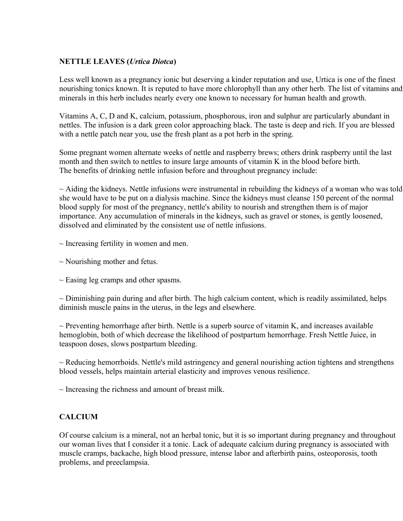### **NETTLE LEAVES (***Urtica Diotca***)**

Less well known as a pregnancy ionic but deserving a kinder reputation and use, Urtica is one of the finest nourishing tonics known. It is reputed to have more chlorophyll than any other herb. The list of vitamins and minerals in this herb includes nearly every one known to necessary for human health and growth.

Vitamins A, C, D and K, calcium, potassium, phosphorous, iron and sulphur are particularly abundant in nettles. The infusion is a dark green color approaching black. The taste is deep and rich. If you are blessed with a nettle patch near you, use the fresh plant as a pot herb in the spring.

Some pregnant women alternate weeks of nettle and raspberry brews; others drink raspberry until the last month and then switch to nettles to insure large amounts of vitamin K in the blood before birth. The benefits of drinking nettle infusion before and throughout pregnancy include:

 $\sim$  Aiding the kidneys. Nettle infusions were instrumental in rebuilding the kidneys of a woman who was told she would have to be put on a dialysis machine. Since the kidneys must cleanse 150 percent of the normal blood supply for most of the pregnancy, nettle's ability to nourish and strengthen them is of major importance. Any accumulation of minerals in the kidneys, such as gravel or stones, is gently loosened, dissolved and eliminated by the consistent use of nettle infusions.

- $\sim$  Increasing fertility in women and men.
- $\sim$  Nourishing mother and fetus.
- $\sim$  Easing leg cramps and other spasms.

 $\sim$  Diminishing pain during and after birth. The high calcium content, which is readily assimilated, helps diminish muscle pains in the uterus, in the legs and elsewhere.

 $\sim$  Preventing hemorrhage after birth. Nettle is a superb source of vitamin K, and increases available hemoglobin, both of which decrease the likelihood of postpartum hemorrhage. Fresh Nettle Juice, in teaspoon doses, slows postpartum bleeding.

 $\sim$  Reducing hemorrhoids. Nettle's mild astringency and general nourishing action tightens and strengthens blood vessels, helps maintain arterial elasticity and improves venous resilience.

 $\sim$  Increasing the richness and amount of breast milk.

### **CALCIUM**

Of course calcium is a mineral, not an herbal tonic, but it is so important during pregnancy and throughout our woman lives that I consider it a tonic. Lack of adequate calcium during pregnancy is associated with muscle cramps, backache, high blood pressure, intense labor and afterbirth pains, osteoporosis, tooth problems, and preeclampsia.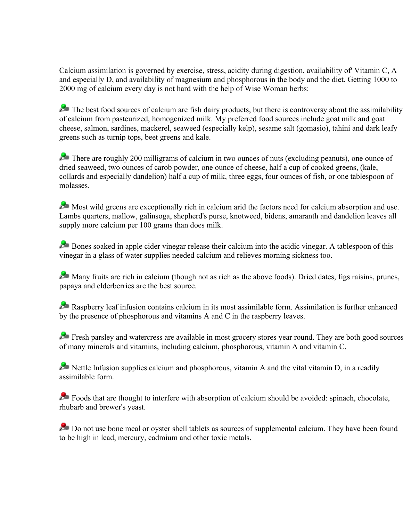Calcium assimilation is governed by exercise, stress, acidity during digestion, availability of' Vitamin C, A and especially D, and availability of magnesium and phosphorous in the body and the diet. Getting 1000 to 2000 mg of calcium every day is not hard with the help of Wise Woman herbs:

 $\blacktriangleright$  The best food sources of calcium are fish dairy products, but there is controversy about the assimilability of calcium from pasteurized, homogenized milk. My preferred food sources include goat milk and goat cheese, salmon, sardines, mackerel, seaweed (especially kelp), sesame salt (gomasio), tahini and dark leafy greens such as turnip tops, beet greens and kale.

There are roughly 200 milligrams of calcium in two ounces of nuts (excluding peanuts), one ounce of dried seaweed, two ounces of carob powder, one ounce of cheese, half a cup of cooked greens, (kale, collards and especially dandelion) half a cup of milk, three eggs, four ounces of fish, or one tablespoon of molasses.

Most wild greens are exceptionally rich in calcium arid the factors need for calcium absorption and use. Lambs quarters, mallow, galinsoga, shepherd's purse, knotweed, bidens, amaranth and dandelion leaves all supply more calcium per 100 grams than does milk.

Bones soaked in apple cider vinegar release their calcium into the acidic vinegar. A tablespoon of this vinegar in a glass of water supplies needed calcium and relieves morning sickness too.

Many fruits are rich in calcium (though not as rich as the above foods). Dried dates, figs raisins, prunes, papaya and elderberries are the best source.

Raspberry leaf infusion contains calcium in its most assimilable form. Assimilation is further enhanced by the presence of phosphorous and vitamins A and C in the raspberry leaves.

Fresh parsley and watercress are available in most grocery stores year round. They are both good sources of many minerals and vitamins, including calcium, phosphorous, vitamin A and vitamin C.

 $\blacktriangleright$  Nettle Infusion supplies calcium and phosphorous, vitamin A and the vital vitamin D, in a readily assimilable form.

 $\blacktriangleright$  Foods that are thought to interfere with absorption of calcium should be avoided: spinach, chocolate, rhubarb and brewer's yeast.

**Do not use bone meal or oyster shell tablets as sources of supplemental calcium.** They have been found to be high in lead, mercury, cadmium and other toxic metals.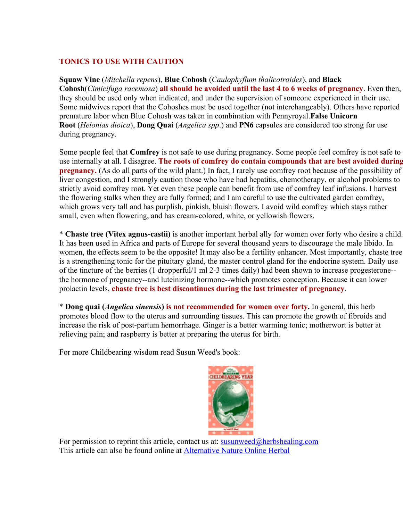### **TONICS TO USE WITH CAUTION**

**Squaw Vine** (*Mitchella repens*), **Blue Cohosh** (*Caulophyflum thalicotroides*), and **Black Cohosh**(*Cimicifuga racemosa*) **all should be avoided until the last 4 to 6 weeks of pregnancy**. Even then, they should be used only when indicated, and under the supervision of someone experienced in their use. Some midwives report that the Cohoshes must be used together (not interchangeably). Others have reported premature labor when Blue Cohosh was taken in combination with Pennyroyal.**False Unicorn Root** (*Helonias dioica*), **Dong Quai** (*Angelica spp*.) and **PN6** capsules are considered too strong for use during pregnancy.

Some people feel that **Comfrey** is not safe to use during pregnancy. Some people feel comfrey is not safe to use internally at all. I disagree. **The roots of comfrey do contain compounds that are best avoided during pregnancy.** (As do all parts of the wild plant.) In fact, I rarely use comfrey root because of the possibility of liver congestion, and I strongly caution those who have had hepatitis, chemotherapy, or alcohol problems to strictly avoid comfrey root. Yet even these people can benefit from use of comfrey leaf infusions. I harvest the flowering stalks when they are fully formed; and I am careful to use the cultivated garden comfrey, which grows very tall and has purplish, pinkish, bluish flowers. I avoid wild comfrey which stays rather small, even when flowering, and has cream-colored, white, or yellowish flowers.

\* **Chaste tree (Vitex agnus-castii)** is another important herbal ally for women over forty who desire a child. It has been used in Africa and parts of Europe for several thousand years to discourage the male libido. In women, the effects seem to be the opposite! It may also be a fertility enhancer. Most importantly, chaste tree is a strengthening tonic for the pituitary gland, the master control gland for the endocrine system. Daily use of the tincture of the berries (1 dropperful/1 ml 2-3 times daily) had been shown to increase progesterone- the hormone of pregnancy--and luteinizing hormone--which promotes conception. Because it can lower prolactin levels, **chaste tree is best discontinues during the last trimester of pregnancy**.

\* **Dong quai (***Angelica sinensis***) is not recommended for women over forty.** In general, this herb promotes blood flow to the uterus and surrounding tissues. This can promote the growth of fibroids and increase the risk of post-partum hemorrhage. Ginger is a better warming tonic; motherwort is better at relieving pain; and raspberry is better at preparing the uterus for birth.

For more Childbearing wisdom read Susun Weed's book:



For permission to reprint this article, contact us at:  $s$ usunweed@herbshealing.com This article can also be found online at **[Alternative Nature Online Herbal](http://www.altnature.com/)**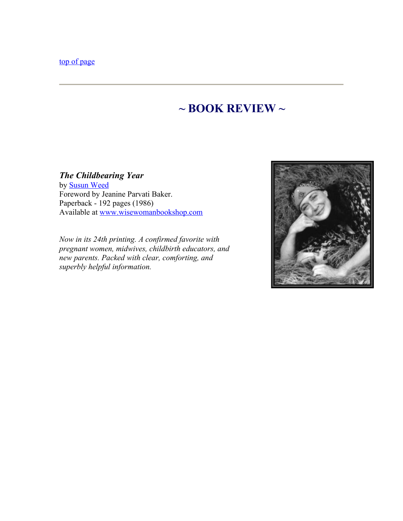# **~ BOOK REVIEW ~**

*The Childbearing Year* by [Susun Weed](http://www.susunweed.com/SusunWeed.htm) Foreword by Jeanine Parvati Baker. Paperback - 192 pages (1986) Available at [www.wisewomanbookshop.com](http://www.herbalmedicinehealing.com/)

*Now in its 24th printing. A confirmed favorite with pregnant women, midwives, childbirth educators, and new parents. Packed with clear, comforting, and superbly helpful information.*

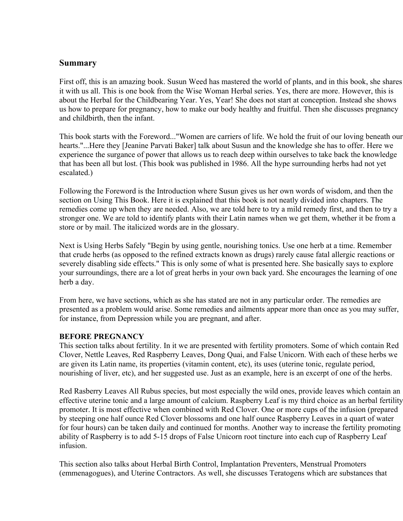### **Summary**

First off, this is an amazing book. Susun Weed has mastered the world of plants, and in this book, she shares it with us all. This is one book from the Wise Woman Herbal series. Yes, there are more. However, this is about the Herbal for the Childbearing Year. Yes, Year! She does not start at conception. Instead she shows us how to prepare for pregnancy, how to make our body healthy and fruitful. Then she discusses pregnancy and childbirth, then the infant.

This book starts with the Foreword..."Women are carriers of life. We hold the fruit of our loving beneath our hearts."...Here they [Jeanine Parvati Baker] talk about Susun and the knowledge she has to offer. Here we experience the surgance of power that allows us to reach deep within ourselves to take back the knowledge that has been all but lost. (This book was published in 1986. All the hype surrounding herbs had not yet escalated.)

Following the Foreword is the Introduction where Susun gives us her own words of wisdom, and then the section on Using This Book. Here it is explained that this book is not neatly divided into chapters. The remedies come up when they are needed. Also, we are told here to try a mild remedy first, and then to try a stronger one. We are told to identify plants with their Latin names when we get them, whether it be from a store or by mail. The italicized words are in the glossary.

Next is Using Herbs Safely "Begin by using gentle, nourishing tonics. Use one herb at a time. Remember that crude herbs (as opposed to the refined extracts known as drugs) rarely cause fatal allergic reactions or severely disabling side effects." This is only some of what is presented here. She basically says to explore your surroundings, there are a lot of great herbs in your own back yard. She encourages the learning of one herb a day.

From here, we have sections, which as she has stated are not in any particular order. The remedies are presented as a problem would arise. Some remedies and ailments appear more than once as you may suffer, for instance, from Depression while you are pregnant, and after.

#### **BEFORE PREGNANCY**

This section talks about fertility. In it we are presented with fertility promoters. Some of which contain Red Clover, Nettle Leaves, Red Raspberry Leaves, Dong Quai, and False Unicorn. With each of these herbs we are given its Latin name, its properties (vitamin content, etc), its uses (uterine tonic, regulate period, nourishing of liver, etc), and her suggested use. Just as an example, here is an excerpt of one of the herbs.

Red Rasberry Leaves All Rubus species, but most especially the wild ones, provide leaves which contain an effective uterine tonic and a large amount of calcium. Raspberry Leaf is my third choice as an herbal fertility promoter. It is most effective when combined with Red Clover. One or more cups of the infusion (prepared by steeping one half ounce Red Clover blossoms and one half ounce Raspberry Leaves in a quart of water for four hours) can be taken daily and continued for months. Another way to increase the fertility promoting ability of Raspberry is to add 5-15 drops of False Unicorn root tincture into each cup of Raspberry Leaf infusion.

This section also talks about Herbal Birth Control, Implantation Preventers, Menstrual Promoters (emmenagogues), and Uterine Contractors. As well, she discusses Teratogens which are substances that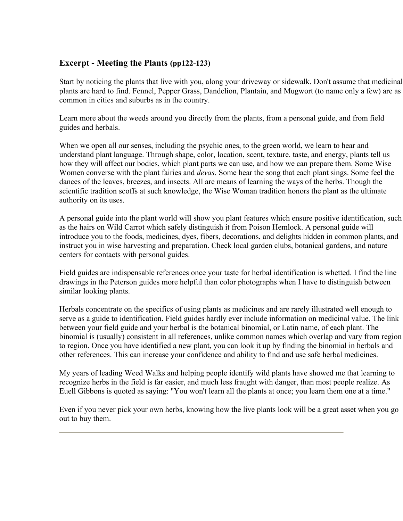# **Excerpt - Meeting the Plants (pp122-123)**

Start by noticing the plants that live with you, along your driveway or sidewalk. Don't assume that medicinal plants are hard to find. Fennel, Pepper Grass, Dandelion, Plantain, and Mugwort (to name only a few) are as common in cities and suburbs as in the country.

Learn more about the weeds around you directly from the plants, from a personal guide, and from field guides and herbals.

When we open all our senses, including the psychic ones, to the green world, we learn to hear and understand plant language. Through shape, color, location, scent, texture. taste, and energy, plants tell us how they will affect our bodies, which plant parts we can use, and how we can prepare them. Some Wise Women converse with the plant fairies and *devas*. Some hear the song that each plant sings. Some feel the dances of the leaves, breezes, and insects. All are means of learning the ways of the herbs. Though the scientific tradition scoffs at such knowledge, the Wise Woman tradition honors the plant as the ultimate authority on its uses.

A personal guide into the plant world will show you plant features which ensure positive identification, such as the hairs on Wild Carrot which safely distinguish it from Poison Hemlock. A personal guide will introduce you to the foods, medicines, dyes, fibers, decorations, and delights hidden in common plants, and instruct you in wise harvesting and preparation. Check local garden clubs, botanical gardens, and nature centers for contacts with personal guides.

Field guides are indispensable references once your taste for herbal identification is whetted. I find the line drawings in the Peterson guides more helpful than color photographs when I have to distinguish between [similar looking plants.](http://www.epinions.com/book-review-7396-6321A56-39B58CC5-prod1)

Herbals concentrate on the specifics of using plants as medicines and are rarely illustrated well enough to serve as a guide to identification. Field guides hardly ever include information on medicinal value. The link between your field guide and your herbal is the botanical binomial, or Latin name, of each plant. The binomial is (usually) consistent in all references, unlike common names which overlap and vary from region to region. Once you have identified a new plant, you can look it up by finding the binomial in herbals and other references. This can increase your confidence and ability to find and use safe herbal medicines.

My years of leading Weed Walks and helping people identify wild plants have showed me that learning to recognize herbs in the field is far easier, and much less fraught with danger, than most people realize. As Euell Gibbons is quoted as saying: "You won't learn all the plants at once; you learn them one at a time."

Even if you never pick your own herbs, knowing how the live plants look will be a great asset when you go out to buy them.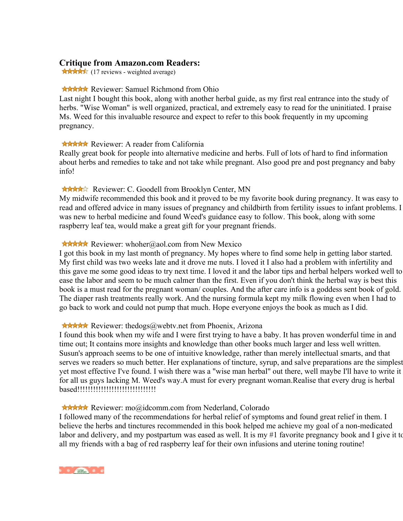#### **Critique from Amazon.com Readers:**

**AXAM** (17 reviews - weighted average)

#### **Reviewer: Samuel Richmond from Ohio**

Last night I bought this book, along with another herbal guide, as my first real entrance into the study of herbs. "Wise Woman" is well organized, practical, and extremely easy to read for the uninitiated. I praise Ms. Weed for this invaluable resource and expect to refer to this book frequently in my upcoming pregnancy.

#### **AMAM** Reviewer: A reader from California

Really great book for people into alternative medicine and herbs. Full of lots of hard to find information about herbs and remedies to take and not take while pregnant. Also good pre and post pregnancy and baby info!

#### **ANAR** Reviewer: C. Goodell from Brooklyn Center, MN

My midwife recommended this book and it proved to be my favorite book during pregnancy. It was easy to read and offered advice in many issues of pregnancy and childbirth from fertility issues to infant problems. I was new to herbal medicine and found Weed's guidance easy to follow. This book, along with some raspberry leaf tea, would make a great gift for your pregnant friends.

#### **AMAN:** Reviewer: whoher@aol.com from New Mexico

I got this book in my last month of pregnancy. My hopes where to find some help in getting labor started. My first child was two weeks late and it drove me nuts. I loved it I also had a problem with infertility and this gave me some good ideas to try next time. I loved it and the labor tips and herbal helpers worked well to ease the labor and seem to be much calmer than the first. Even if you don't think the herbal way is best this book is a must read for the pregnant woman/ couples. And the after care info is a goddess sent book of gold. The diaper rash treatments really work. And the nursing formula kept my milk flowing even when I had to go back to work and could not pump that much. Hope everyone enjoys the book as much as I did.

#### **AMAM** Reviewer: the dogs @webtv.net from Phoenix, Arizona

I found this book when my wife and I were first trying to have a baby. It has proven wonderful time in and time out; It contains more insights and knowledge than other books much larger and less well written. Susun's approach seems to be one of intuitive knowledge, rather than merely intellectual smarts, and that serves we readers so much better. Her explanations of tincture, syrup, and salve preparations are the simplest yet most effective I've found. I wish there was a "wise man herbal" out there, well maybe I'll have to write it for all us guys lacking M. Weed's way.A must for every pregnant woman.Realise that every drug is herbal based!!!!!!!!!!!!!!!!!!!!!!!!!!!!!!

#### **AAAAA** Reviewer: mo@idcomm.com from Nederland, Colorado

I followed many of the recommendations for herbal relief of symptoms and found great relief in them. I believe the herbs and tinctures recommended in this book helped me achieve my goal of a non-medicated labor and delivery, and my postpartum was eased as well. It is my #1 favorite pregnancy book and I give it to all my friends with a bag of red raspberry leaf for their own infusions and uterine toning routine!

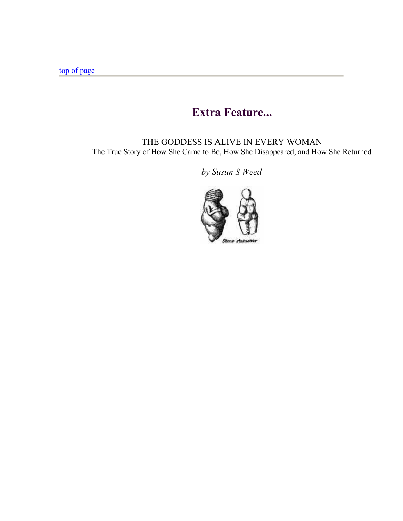# **[Extra Feature...](http://herbalmedicinehealing.com/)**

# THE GODDESS IS ALIVE IN EVERY WOMAN [The True Story of How She Came to Be, How She Disappeared, and How She Returned](http://www.herbalmedicinehealing.com/store/item_view.asp?estore_itemid=1000076)

*by Susun S Weed*

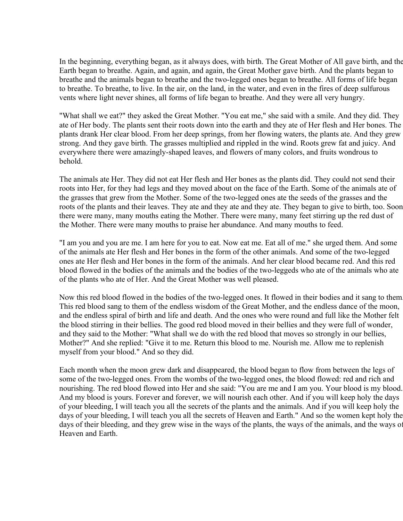In the beginning, everything began, as it always does, with birth. The Great Mother of All gave birth, and the Earth began to breathe. Again, and again, and again, the Great Mother gave birth. And the plants began to breathe and the animals began to breathe and the two-legged ones began to breathe. All forms of life began to breathe. To breathe, to live. In the air, on the land, in the water, and even in the fires of deep sulfurous vents where light never shines, all forms of life began to breathe. And they were all very hungry.

"What shall we eat?" they asked the Great Mother. "You eat me," she said with a smile. And they did. They ate of Her body. The plants sent their roots down into the earth and they ate of Her flesh and Her bones. The plants drank Her clear blood. From her deep springs, from her flowing waters, the plants ate. And they grew strong. And they gave birth. The grasses multiplied and rippled in the wind. Roots grew fat and juicy. And everywhere there were amazingly-shaped leaves, and flowers of many colors, and fruits wondrous to behold.

The animals ate Her. They did not eat Her flesh and Her bones as the plants did. They could not send their roots into Her, for they had legs and they moved about on the face of the Earth. Some of the animals ate of the grasses that grew from the Mother. Some of the two-legged ones ate the seeds of the grasses and the roots of the plants and their leaves. They ate and they ate and they ate. They began to give to birth, too. Soon there were many, many mouths eating the Mother. There were many, many feet stirring up the red dust of the Mother. There were many mouths to praise her abundance. And many mouths to feed.

"I am you and you are me. I am here for you to eat. Now eat me. Eat all of me." she urged them. And some of the animals ate Her flesh and Her bones in the form of the other animals. And some of the two-legged ones ate Her flesh and Her bones in the form of the animals. And her clear blood became red. And this red blood flowed in the bodies of the animals and the bodies of the two-leggeds who ate of the animals who ate of the plants who ate of Her. And the Great Mother was well pleased.

Now this red blood flowed in the bodies of the two-legged ones. It flowed in their bodies and it sang to them. This red blood sang to them of the endless wisdom of the Great Mother, and the endless dance of the moon, and the endless spiral of birth and life and death. And the ones who were round and full like the Mother felt the blood stirring in their bellies. The good red blood moved in their bellies and they were full of wonder, and they said to the Mother: "What shall we do with the red blood that moves so strongly in our bellies, Mother?" And she replied: "Give it to me. Return this blood to me. Nourish me. Allow me to replenish myself from your blood." And so they did.

Each month when the moon grew dark and disappeared, the blood began to flow from between the legs of some of the two-legged ones. From the wombs of the two-legged ones, the blood flowed: red and rich and nourishing. The red blood flowed into Her and she said: "You are me and I am you. Your blood is my blood. And my blood is yours. Forever and forever, we will nourish each other. And if you will keep holy the days of your bleeding, I will teach you all the secrets of the plants and the animals. And if you will keep holy the days of your bleeding, I will teach you all the secrets of Heaven and Earth." And so the women kept holy the days of their bleeding, and they grew wise in the ways of the plants, the ways of the animals, and the ways of Heaven and Earth.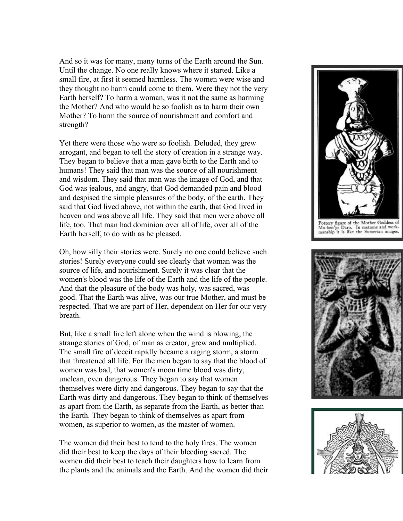And so it was for many, many turns of the Earth around the Sun. Until the change. No one really knows where it started. Like a small fire, at first it seemed harmless. The women were wise and they thought no harm could come to them. Were they not the very Earth herself? To harm a woman, was it not the same as harming the Mother? And who would be so foolish as to harm their own Mother? To harm the source of nourishment and comfort and strength?

Yet there were those who were so foolish. Deluded, they grew arrogant, and began to tell the story of creation in a strange way. They began to believe that a man gave birth to the Earth and to humans! They said that man was the source of all nourishment and wisdom. They said that man was the image of God, and that God was jealous, and angry, that God demanded pain and blood and despised the simple pleasures of the body, of the earth. They said that God lived above, not within the earth, that God lived in heaven and was above all life. They said that men were above all life, too. That man had dominion over all of life, over all of the Earth herself, to do with as he pleased.

Oh, how silly their stories were. Surely no one could believe such stories! Surely everyone could see clearly that woman was the source of life, and nourishment. Surely it was clear that the women's blood was the life of the Earth and the life of the people. And that the pleasure of the body was holy, was sacred, was good. That the Earth was alive, was our true Mother, and must be respected. That we are part of Her, dependent on Her for our very breath.

But, like a small fire left alone when the wind is blowing, the strange stories of God, of man as creator, grew and multiplied. The small fire of deceit rapidly became a raging storm, a storm that threatened all life. For the men began to say that the blood of women was bad, that women's moon time blood was dirty, unclean, even dangerous. They began to say that women themselves were dirty and dangerous. They began to say that the Earth was dirty and dangerous. They began to think of themselves as apart from the Earth, as separate from the Earth, as better than the Earth. They began to think of themselves as apart from women, as superior to women, as the master of women.

The women did their best to tend to the holy fires. The women did their best to keep the days of their bleeding sacred. The women did their best to teach their daughters how to learn from the plants and the animals and the Earth. And the women did their



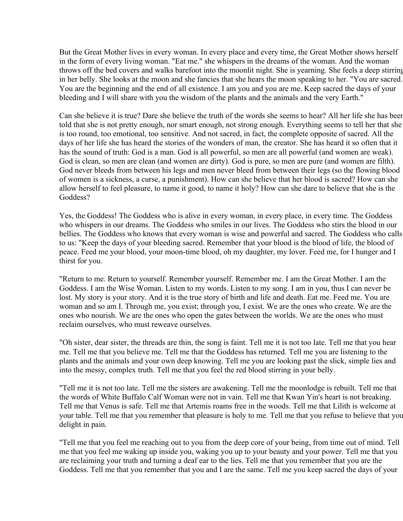But the Great Mother lives in every woman. In every place and every time, the Great Mother shows herself in the form of every living woman. "Eat me." she whispers in the dreams of the woman. And the woman throws off the bed covers and walks barefoot into the moonlit night. She is yearning. She feels a deep stirring in her belly. She looks at the moon and she fancies that she hears the moon speaking to her. "You are sacred. You are the beginning and the end of all existence. I am you and you are me. Keep sacred the days of your bleeding and I will share with you the wisdom of the plants and the animals and the very Earth."

Can she believe it is true? Dare she believe the truth of the words she seems to hear? All her life she has been told that she is not pretty enough, nor smart enough, not strong enough. Everything seems to tell her that she is too round, too emotional, too sensitive. And not sacred, in fact, the complete opposite of sacred. All the days of her life she has heard the stories of the wonders of man, the creator. She has heard it so often that it has the sound of truth: God is a man. God is all powerful, so men are all powerful (and women are weak). God is clean, so men are clean (and women are dirty). God is pure, so men are pure (and women are filth). God never bleeds from between his legs and men never bleed from between their legs (so the flowing blood of women is a sickness, a curse, a punishment). How can she believe that her blood is sacred? How can she allow herself to feel pleasure, to name it good, to name it holy? How can she dare to believe that she is the Goddess?

Yes, the Goddess! The Goddess who is alive in every woman, in every place, in every time. The Goddess who whispers in our dreams. The Goddess who smiles in our lives. The Goddess who stirs the blood in our bellies. The Goddess who knows that every woman is wise and powerful and sacred. The Goddess who calls to us: "Keep the days of your bleeding sacred. Remember that your blood is the blood of life, the blood of peace. Feed me your blood, your moon-time blood, oh my daughter, my lover. Feed me, for I hunger and I thirst for you.

"Return to me. Return to yourself. Remember yourself. Remember me. I am the Great Mother. I am the Goddess. I am the Wise Woman. Listen to my words. Listen to my song. I am in you, thus I can never be lost. My story is your story. And it is the true story of birth and life and death. Eat me. Feed me. You are woman and so am I. Through me, you exist; through you, I exist. We are the ones who create. We are the ones who nourish. We are the ones who open the gates between the worlds. We are the ones who must reclaim ourselves, who must reweave ourselves.

"Oh sister, dear sister, the threads are thin, the song is faint. Tell me it is not too late. Tell me that you hear me. Tell me that you believe me. Tell me that the Goddess has returned. Tell me you are listening to the plants and the animals and your own deep knowing. Tell me you are looking past the slick, simple lies and into the messy, complex truth. Tell me that you feel the red blood stirring in your belly.

"Tell me it is not too late. Tell me the sisters are awakening. Tell me the moonlodge is rebuilt. Tell me that the words of White Buffalo Calf Woman were not in vain. Tell me that Kwan Yin's heart is not breaking. Tell me that Venus is safe. Tell me that Artemis roams free in the woods. Tell me that Lilith is welcome at your table. Tell me that you remember that pleasure is holy to me. Tell me that you refuse to believe that you delight in pain.

"Tell me that you feel me reaching out to you from the deep core of your being, from time out of mind. Tell me that you feel me waking up inside you, waking you up to your beauty and your power. Tell me that you are reclaiming your truth and turning a deaf ear to the lies. Tell me that you remember that you are the Goddess. Tell me that you remember that you and I are the same. Tell me you keep sacred the days of your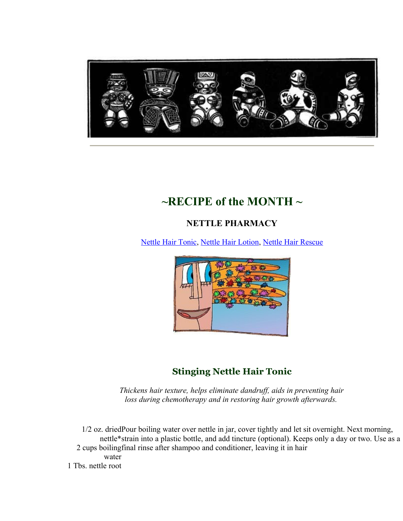

# **~RECIPE of the MONTH ~**

# **NETTLE PHARMACY**

[Nettle Hair Tonic,](http://www.susunweed.com/herbal_ezine/Weed_letter_Jan-02.htm#n1) [Nettle Hair Lotion,](http://www.susunweed.com/herbal_ezine/Weed_letter_Jan-02.htm#n2) [Nettle Hair Rescue](http://www.susunweed.com/herbal_ezine/Weed_letter_Jan-02.htm#n3)



# **Stinging Nettle Hair Tonic**

*Thickens hair texture, helps eliminate dandruff, aids in preventing hair loss during chemotherapy and in restoring hair growth afterwards.*

1/2 oz. dried Pour boiling water over nettle in jar, cover tightly and let sit overnight. Next morning, nettle\* strain into a plastic bottle, and add tincture (optional). Keeps only a day or two. Use as a 2 cups boiling final rinse after shampoo and conditioner, leaving it in hairwater 1 Tbs. nettle root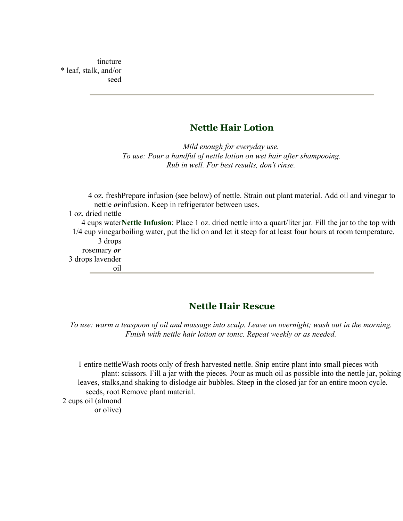tincture \* leaf, stalk, and/or seed

# **Nettle Hair Lotion**

*Mild enough for everyday use. To use: Pour a handful of nettle lotion on wet hair after shampooing. Rub in well. For best results, don't rinse.*

4 oz. fresh Prepare infusion (see below) of nettle. Strain out plant material. Add oil and vinegar to nettle *or* infusion. Keep in refrigerator between uses.

1 oz. dried nettle

4 cups water **Nettle Infusion**: Place 1 oz. dried nettle into a quart/liter jar. Fill the jar to the top with 1/4 cup vinegar boiling water, put the lid on and let it steep for at least four hours at room temperature. 3 drops

rosemary *or* 3 drops lavender

oil

**Nettle Hair Rescue**

*To use: warm a teaspoon of oil and massage into scalp. Leave on overnight; wash out in the morning. Finish with nettle hair lotion or tonic. Repeat weekly or as needed.*

1 entire nettle Wash roots only of fresh harvested nettle. Snip entire plant into small pieces with plant: scissors. Fill a jar with the pieces. Pour as much oil as possible into the nettle jar, poking leaves, stalks, and shaking to dislodge air bubbles. Steep in the closed jar for an entire moon cycle. seeds, root Remove plant material.

2 cups oil (almond or olive)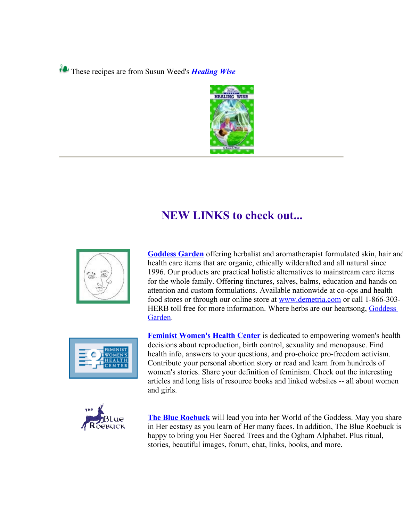These recipes are from Susun Weed's **[Healing Wise](http://www.herbalmedicinehealing.com/store/item_view.asp?estore_itemid=1000020)** 



# **NEW LINKS to check out...**



**[Goddess Garden](http://www.demetria.com/)** offering herbalist and aromatherapist formulated skin, hair and health care items that are organic, ethically wildcrafted and all natural since 1996. Our products are practical holistic alternatives to mainstream care items for the whole family. Offering tinctures, salves, balms, education and hands on attention and custom formulations. Available nationwide at co-ops and health food stores or through our online store at [www.demetria.com](http://www.demetria.com/) or call 1-866-303- HERB toll free for more information. Where herbs are our heartsong, Goddess [Garden.](http://www.demetria.com/)



**[Feminist Women's Health Center](http://www.fwhc.org/)** is dedicated to empowering women's health decisions about reproduction, birth control, sexuality and menopause. Find health info, answers to your questions, and pro-choice pro-freedom activism. Contribute your personal abortion story or read and learn from hundreds of women's stories. Share your definition of feminism. Check out the interesting articles and long lists of resource books and linked websites -- all about women and girls.



**[The Blue Roebuck](http://www.blueroebuck.com/)** will lead you into her World of the Goddess. May you share in Her ecstasy as you learn of Her many faces. In addition, The Blue Roebuck is happy to bring you Her Sacred Trees and the Ogham Alphabet. Plus ritual, stories, beautiful images, forum, chat, links, books, and more.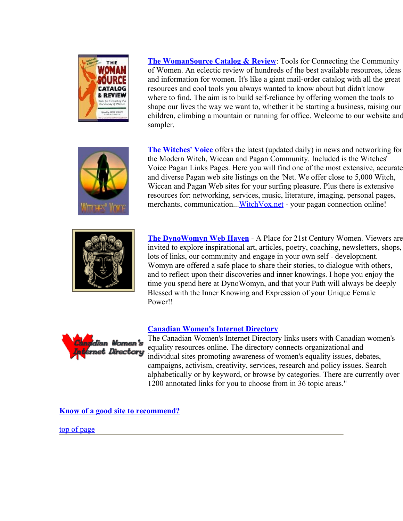

**[The WomanSource Catalog & Review](http://www.womansource.com/index.html)**: Tools for Connecting the Community of Women. An eclectic review of hundreds of the best available resources, ideas and information for women. It's like a giant mail-order catalog with all the great resources and cool tools you always wanted to know about but didn't know where to find. The aim is to build self-reliance by offering women the tools to shape our lives the way we want to, whether it be starting a business, raising our children, climbing a mountain or running for office. Welcome to our website and sampler.



**[The Witches' Voice](http://www.witchvox.net/)** offers the latest (updated daily) in news and networking for the Modern Witch, Wiccan and Pagan Community. Included is the Witches' Voice Pagan Links Pages. Here you will find one of the most extensive, accurate and diverse Pagan web site listings on the 'Net. We offer close to 5,000 Witch, Wiccan and Pagan Web sites for your surfing pleasure. Plus there is extensive resources for: networking, services, music, literature, imaging, personal pages, merchants, communication..[.WitchVox.net](http://www.witchvox.net/) - your pagan connection online!



**[The DynoWomyn Web Haven](http://www.dynowomyn.com/)** - A Place for 21st Century Women. Viewers are invited to explore inspirational art, articles, poetry, coaching, newsletters, shops, lots of links, our community and engage in your own self - development. Womyn are offered a safe place to share their stories, to dialogue with others, and to reflect upon their discoveries and inner knowings. I hope you enjoy the time you spend here at DynoWomyn, and that your Path will always be deeply Blessed with the Inner Knowing and Expression of your Unique Female Power!!

#### **[Canadian Women's Internet Directory](http://www.iwrp.org/web_directory.htm)**



The Canadian Women's Internet Directory links users with Canadian women's equality resources online. The directory connects organizational and individual sites promoting awareness of women's equality issues, debates, campaigns, activism, creativity, services, research and policy issues. Search alphabetically or by keyword, or browse by categories. There are currently over 1200 annotated links for you to choose from in 36 topic areas."

**[Know of a good site to recommend?](mailto:herbshealing@hvc.rr.com)**

[top of page](http://www.susunweed.com/herbal_ezine/Weed_letter_Jan-02.htm#top)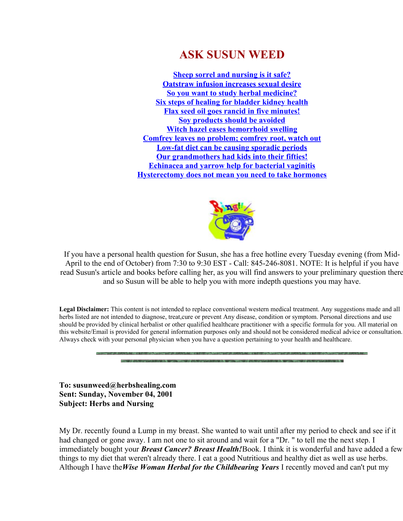# **ASK SUSUN WEED**

**[Sheep sorrel and nursing is it safe?](http://www.susunweed.com/herbal_ezine/Weed_letter_Jan-02.htm#q0) [Oatstraw infusion increases sexual desire](http://www.susunweed.com/herbal_ezine/Weed_letter_Jan-02.htm#q1) [So you want to study herbal medicine?](http://www.susunweed.com/herbal_ezine/Weed_letter_Jan-02.htm#q2) [Six steps of healing for bladder kidney health](http://www.susunweed.com/herbal_ezine/Weed_letter_Jan-02.htm#q3) [Flax seed oil goes rancid in five minutes!](http://www.susunweed.com/herbal_ezine/Weed_letter_Jan-02.htm#q4) [Soy products should be avoided](http://www.susunweed.com/herbal_ezine/Weed_letter_Jan-02.htm#q5) [Witch hazel eases hemorrhoid swelling](http://www.susunweed.com/herbal_ezine/Weed_letter_Jan-02.htm#q6) [Comfrey leaves no problem; comfrey root, watch out](http://www.susunweed.com/herbal_ezine/Weed_letter_Jan-02.htm#q7) [Low-fat diet can be causing sporadic periods](http://www.susunweed.com/herbal_ezine/Weed_letter_Jan-02.htm#q8) [Our grandmothers had kids into their fifties!](http://www.susunweed.com/herbal_ezine/Weed_letter_Jan-02.htm#q9) [Echinacea and yarrow help for bacterial vaginitis](http://www.susunweed.com/herbal_ezine/Weed_letter_Jan-02.htm#q10) [Hysterectomy does not mean you need to take hormones](http://www.susunweed.com/herbal_ezine/Weed_letter_Jan-02.htm#q11)**



If you have a personal health question for Susun, she has a free hotline every Tuesday evening (from Mid-April to the end of October) from 7:30 to 9:30 EST - Call: 845-246-8081. NOTE: It is helpful if you have read Susun's article and books before calling her, as you will find answers to your preliminary question there and so Susun will be able to help you with more indepth questions you may have.

**Legal Disclaimer:** This content is not intended to replace conventional western medical treatment. Any suggestions made and all herbs listed are not intended to diagnose, treat,cure or prevent Any disease, condition or symptom. Personal directions and use should be provided by clinical herbalist or other qualified healthcare practitioner with a specific formula for you. All material on this website/Email is provided for general information purposes only and should not be considered medical advice or consultation. Always check with your personal physician when you have a question pertaining to your health and healthcare.

**To: susunweed@herbshealing.com Sent: Sunday, November 04, 2001 Subject: Herbs and Nursing**

My Dr. recently found a Lump in my breast. She wanted to wait until after my period to check and see if it had changed or gone away. I am not one to sit around and wait for a "Dr. " to tell me the next step. I immediately bought your *Breast Cancer? Breast Health!*Book. I think it is wonderful and have added a few things to my diet that weren't already there. I eat a good Nutritious and healthy diet as well as use herbs. Although I have the*Wise Woman Herbal for the Childbearing Years* I recently moved and can't put my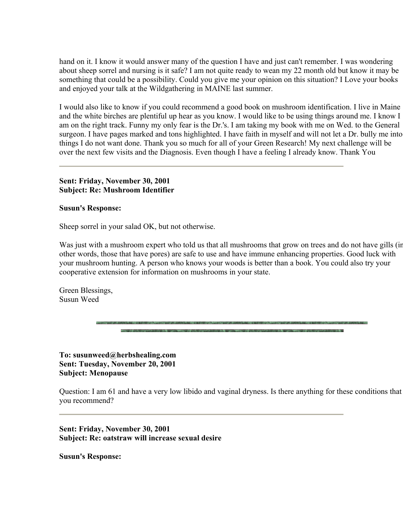hand on it. I know it would answer many of the question I have and just can't remember. I was wondering about sheep sorrel and nursing is it safe? I am not quite ready to wean my 22 month old but know it may be something that could be a possibility. Could you give me your opinion on this situation? I Love your books and enjoyed your talk at the Wildgathering in MAINE last summer.

I would also like to know if you could recommend a good book on mushroom identification. I live in Maine and the white birches are plentiful up hear as you know. I would like to be using things around me. I know I am on the right track. Funny my only fear is the Dr.'s. I am taking my book with me on Wed. to the General surgeon. I have pages marked and tons highlighted. I have faith in myself and will not let a Dr. bully me into things I do not want done. Thank you so much for all of your Green Research! My next challenge will be over the next few visits and the Diagnosis. Even though I have a feeling I already know. Thank You

#### **Sent: Friday, November 30, 2001 Subject: Re: Mushroom Identifier**

#### **Susun's Response:**

Sheep sorrel in your salad OK, but not otherwise.

Was just with a mushroom expert who told us that all mushrooms that grow on trees and do not have gills (in other words, those that have pores) are safe to use and have immune enhancing properties. Good luck with your mushroom hunting. A person who knows your woods is better than a book. You could also try your cooperative extension for information on mushrooms in your state.

Green Blessings, Susun Weed

**To: susunweed@herbshealing.com Sent: Tuesday, November 20, 2001 Subject: Menopause**

Question: I am 61 and have a very low libido and vaginal dryness. Is there anything for these conditions that you recommend?

**Sent: Friday, November 30, 2001 Subject: Re: oatstraw will increase sexual desire**

**Susun's Response:**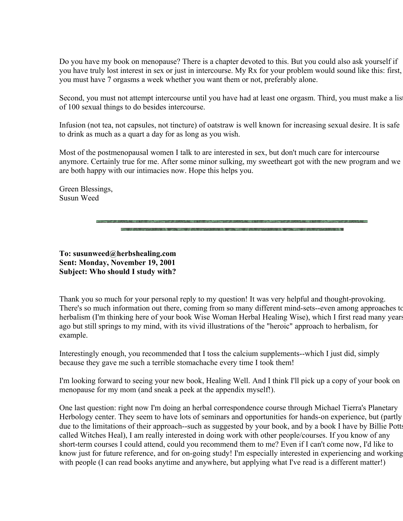Do you have my book on menopause? There is a chapter devoted to this. But you could also ask yourself if you have truly lost interest in sex or just in intercourse. My Rx for your problem would sound like this: first, you must have 7 orgasms a week whether you want them or not, preferably alone.

Second, you must not attempt intercourse until you have had at least one orgasm. Third, you must make a list of 100 sexual things to do besides intercourse.

Infusion (not tea, not capsules, not tincture) of oatstraw is well known for increasing sexual desire. It is safe to drink as much as a quart a day for as long as you wish.

Most of the postmenopausal women I talk to are interested in sex, but don't much care for intercourse anymore. Certainly true for me. After some minor sulking, my sweetheart got with the new program and we are both happy with our intimacies now. Hope this helps you.

Green Blessings, Susun Weed

**To: susunweed@herbshealing.com Sent: Monday, November 19, 2001 Subject: Who should I study with?**

Thank you so much for your personal reply to my question! It was very helpful and thought-provoking. There's so much information out there, coming from so many different mind-sets--even among approaches to herbalism (I'm thinking here of your book Wise Woman Herbal Healing Wise), which I first read many years ago but still springs to my mind, with its vivid illustrations of the "heroic" approach to herbalism, for example.

Interestingly enough, you recommended that I toss the calcium supplements--which I just did, simply because they gave me such a terrible stomachache every time I took them!

I'm looking forward to seeing your new book, Healing Well. And I think I'll pick up a copy of your book on menopause for my mom (and sneak a peek at the appendix myself!).

One last question: right now I'm doing an herbal correspondence course through Michael Tierra's Planetary Herbology center. They seem to have lots of seminars and opportunities for hands-on experience, but (partly due to the limitations of their approach--such as suggested by your book, and by a book I have by Billie Potts called Witches Heal), I am really interested in doing work with other people/courses. If you know of any short-term courses I could attend, could you recommend them to me? Even if I can't come now, I'd like to know just for future reference, and for on-going study! I'm especially interested in experiencing and working with people (I can read books anytime and anywhere, but applying what I've read is a different matter!)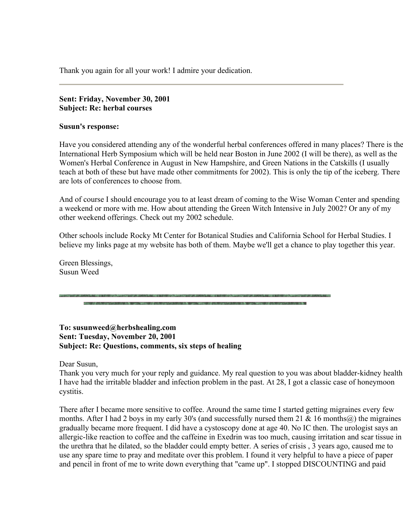Thank you again for all your work! I admire your dedication.

**Sent: Friday, November 30, 2001 Subject: Re: herbal courses**

#### **Susun's response:**

Have you considered attending any of the wonderful herbal conferences offered in many places? There is the International Herb Symposium which will be held near Boston in June 2002 (I will be there), as well as the Women's Herbal Conference in August in New Hampshire, and Green Nations in the Catskills (I usually teach at both of these but have made other commitments for 2002). This is only the tip of the iceberg. There are lots of conferences to choose from.

And of course I should encourage you to at least dream of coming to the Wise Woman Center and spending a weekend or more with me. How about attending the Green Witch Intensive in July 2002? Or any of my other weekend offerings. Check out my 2002 schedule.

Other schools include Rocky Mt Center for Botanical Studies and California School for Herbal Studies. I believe my links page at my website has both of them. Maybe we'll get a chance to play together this year.

Green Blessings, Susun Weed

**To: susunweed@herbshealing.com Sent: Tuesday, November 20, 2001 Subject: Re: Questions, comments, six steps of healing**

Dear Susun,

Thank you very much for your reply and guidance. My real question to you was about bladder-kidney health. I have had the irritable bladder and infection problem in the past. At 28, I got a classic case of honeymoon cystitis.

There after I became more sensitive to coffee. Around the same time I started getting migraines every few months. After I had 2 boys in my early 30's (and successfully nursed them 21  $\&$  16 months $\omega$ ) the migraines gradually became more frequent. I did have a cystoscopy done at age 40. No IC then. The urologist says an allergic-like reaction to coffee and the caffeine in Exedrin was too much, causing irritation and scar tissue in the urethra that he dilated, so the bladder could empty better. A series of crisis , 3 years ago, caused me to use any spare time to pray and meditate over this problem. I found it very helpful to have a piece of paper and pencil in front of me to write down everything that "came up". I stopped DISCOUNTING and paid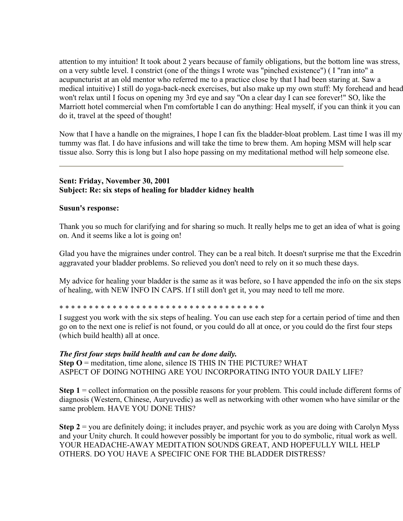attention to my intuition! It took about 2 years because of family obligations, but the bottom line was stress, on a very subtle level. I constrict (one of the things I wrote was "pinched existence") ( I "ran into" a acupuncturist at an old mentor who referred me to a practice close by that I had been staring at. Saw a medical intuitive) I still do yoga-back-neck exercises, but also make up my own stuff: My forehead and head won't relax until I focus on opening my 3rd eye and say "On a clear day I can see forever!" SO, like the Marriott hotel commercial when I'm comfortable I can do anything: Heal myself, if you can think it you can do it, travel at the speed of thought!

Now that I have a handle on the migraines, I hope I can fix the bladder-bloat problem. Last time I was ill my tummy was flat. I do have infusions and will take the time to brew them. Am hoping MSM will help scar tissue also. Sorry this is long but I also hope passing on my meditational method will help someone else.

#### **Sent: Friday, November 30, 2001 Subject: Re: six steps of healing for bladder kidney health**

#### **Susun's response:**

Thank you so much for clarifying and for sharing so much. It really helps me to get an idea of what is going on. And it seems like a lot is going on!

Glad you have the migraines under control. They can be a real bitch. It doesn't surprise me that the Excedrin aggravated your bladder problems. So relieved you don't need to rely on it so much these days.

My advice for healing your bladder is the same as it was before, so I have appended the info on the six steps of healing, with NEW INFO IN CAPS. If I still don't get it, you may need to tell me more.

#### \* \* \* \* \* \* \* \* \* \* \* \* \* \* \* \* \* \* \* \* \* \* \* \* \* \* \* \* \* \* \* \* \* \* \*

I suggest you work with the six steps of healing. You can use each step for a certain period of time and then go on to the next one is relief is not found, or you could do all at once, or you could do the first four steps (which build health) all at once.

#### *The first four steps build health and can be done daily.*

**Step O** = meditation, time alone, silence IS THIS IN THE PICTURE? WHAT ASPECT OF DOING NOTHING ARE YOU INCORPORATING INTO YOUR DAILY LIFE?

**Step 1** = collect information on the possible reasons for your problem. This could include different forms of diagnosis (Western, Chinese, Auryuvedic) as well as networking with other women who have similar or the same problem. HAVE YOU DONE THIS?

**Step 2** = you are definitely doing; it includes prayer, and psychic work as you are doing with Carolyn Myss and your Unity church. It could however possibly be important for you to do symbolic, ritual work as well. YOUR HEADACHE-AWAY MEDITATION SOUNDS GREAT, AND HOPEFULLY WILL HELP OTHERS. DO YOU HAVE A SPECIFIC ONE FOR THE BLADDER DISTRESS?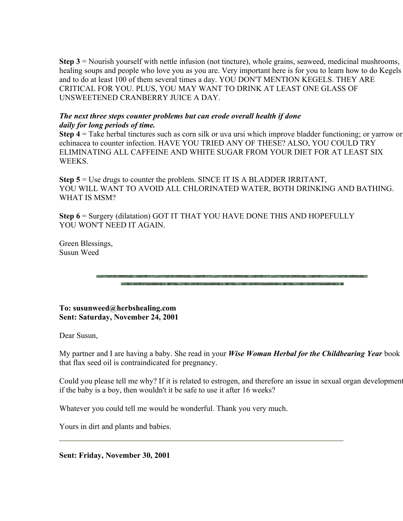**Step 3** = Nourish yourself with nettle infusion (not tincture), whole grains, seaweed, medicinal mushrooms, healing soups and people who love you as you are. Very important here is for you to learn how to do Kegels and to do at least 100 of them several times a day. YOU DON'T MENTION KEGELS. THEY ARE CRITICAL FOR YOU. PLUS, YOU MAY WANT TO DRINK AT LEAST ONE GLASS OF UNSWEETENED CRANBERRY JUICE A DAY.

#### *The next three steps counter problems but can erode overall health if done daily for long periods of time.*

**Step 4** = Take herbal tinctures such as corn silk or uva ursi which improve bladder functioning; or yarrow or echinacea to counter infection. HAVE YOU TRIED ANY OF THESE? ALSO, YOU COULD TRY ELIMINATING ALL CAFFEINE AND WHITE SUGAR FROM YOUR DIET FOR AT LEAST SIX **WEEKS** 

**Step 5** = Use drugs to counter the problem. SINCE IT IS A BLADDER IRRITANT, YOU WILL WANT TO AVOID ALL CHLORINATED WATER, BOTH DRINKING AND BATHING. WHAT IS MSM?

**Step 6** = Surgery (dilatation) GOT IT THAT YOU HAVE DONE THIS AND HOPEFULLY YOU WON'T NEED IT AGAIN.

Green Blessings, Susun Weed

**To: susunweed@herbshealing.com Sent: Saturday, November 24, 2001**

Dear Susun,

My partner and I are having a baby. She read in your *Wise Woman Herbal for the Childbearing Year* book that flax seed oil is contraindicated for pregnancy.

Could you please tell me why? If it is related to estrogen, and therefore an issue in sexual organ development if the baby is a boy, then wouldn't it be safe to use it after 16 weeks?

Whatever you could tell me would be wonderful. Thank you very much.

Yours in dirt and plants and babies.

**Sent: Friday, November 30, 2001**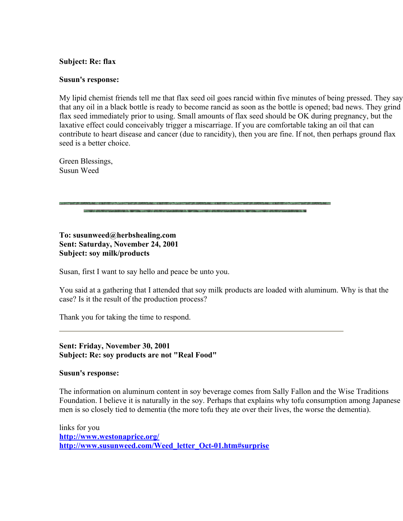#### **Subject: Re: flax**

#### **Susun's response:**

My lipid chemist friends tell me that flax seed oil goes rancid within five minutes of being pressed. They say that any oil in a black bottle is ready to become rancid as soon as the bottle is opened; bad news. They grind flax seed immediately prior to using. Small amounts of flax seed should be OK during pregnancy, but the laxative effect could conceivably trigger a miscarriage. If you are comfortable taking an oil that can contribute to heart disease and cancer (due to rancidity), then you are fine. If not, then perhaps ground flax seed is a better choice.

Green Blessings, Susun Weed

**To: susunweed@herbshealing.com Sent: Saturday, November 24, 2001 Subject: soy milk/products**

Susan, first I want to say hello and peace be unto you.

You said at a gathering that I attended that soy milk products are loaded with aluminum. Why is that the case? Is it the result of the production process?

Thank you for taking the time to respond.

#### **Sent: Friday, November 30, 2001 Subject: Re: soy products are not "Real Food"**

#### **Susun's response:**

The information on aluminum content in soy beverage comes from Sally Fallon and the Wise Traditions Foundation. I believe it is naturally in the soy. Perhaps that explains why tofu consumption among Japanese men is so closely tied to dementia (the more tofu they ate over their lives, the worse the dementia).

links for you **<http://www.westonaprice.org/> [http://www.susunweed.com/Weed\\_letter\\_Oct-01.htm#surprise](http://www.susunweed.com/herbal_ezine/Weed_letter_Oct-01.htm#surprise)**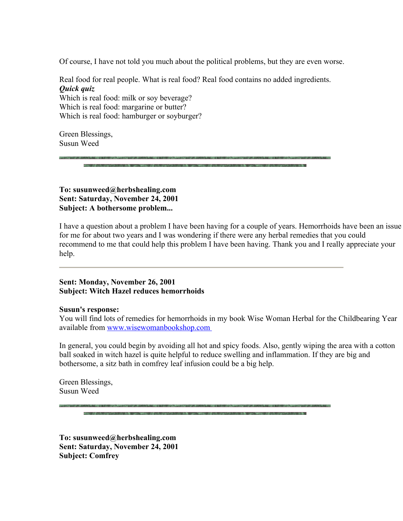Of course, I have not told you much about the political problems, but they are even worse.

Real food for real people. What is real food? Real food contains no added ingredients. *Quick quiz* Which is real food: milk or soy beverage?

Which is real food: margarine or butter? Which is real food: hamburger or soyburger?

Green Blessings, Susun Weed

**To: susunweed@herbshealing.com Sent: Saturday, November 24, 2001 Subject: A bothersome problem...**

I have a question about a problem I have been having for a couple of years. Hemorrhoids have been an issue for me for about two years and I was wondering if there were any herbal remedies that you could recommend to me that could help this problem I have been having. Thank you and I really appreciate your help.

#### **Sent: Monday, November 26, 2001 Subject: Witch Hazel reduces hemorrhoids**

#### **Susun's response:**

You will find lots of remedies for hemorrhoids in my book Wise Woman Herbal for the Childbearing Year available from [www.wisewomanbookshop.com](http://www.herbalmedicinehealing.com/)

In general, you could begin by avoiding all hot and spicy foods. Also, gently wiping the area with a cotton ball soaked in witch hazel is quite helpful to reduce swelling and inflammation. If they are big and bothersome, a sitz bath in comfrey leaf infusion could be a big help.

Green Blessings, Susun Weed

**To: susunweed@herbshealing.com Sent: Saturday, November 24, 2001 Subject: Comfrey**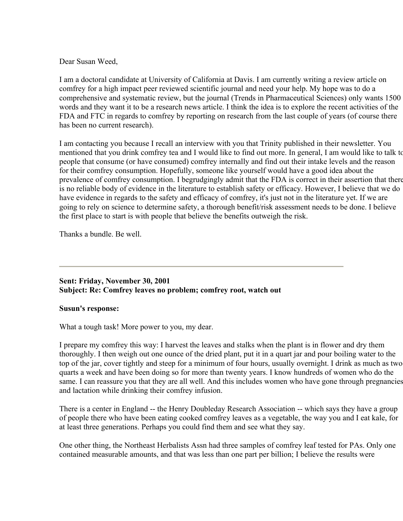#### Dear Susan Weed,

I am a doctoral candidate at University of California at Davis. I am currently writing a review article on comfrey for a high impact peer reviewed scientific journal and need your help. My hope was to do a comprehensive and systematic review, but the journal (Trends in Pharmaceutical Sciences) only wants 1500 words and they want it to be a research news article. I think the idea is to explore the recent activities of the FDA and FTC in regards to comfrey by reporting on research from the last couple of years (of course there has been no current research).

I am contacting you because I recall an interview with you that Trinity published in their newsletter. You mentioned that you drink comfrey tea and I would like to find out more. In general, I am would like to talk to people that consume (or have consumed) comfrey internally and find out their intake levels and the reason for their comfrey consumption. Hopefully, someone like yourself would have a good idea about the prevalence of comfrey consumption. I begrudgingly admit that the FDA is correct in their assertion that there is no reliable body of evidence in the literature to establish safety or efficacy. However, I believe that we do have evidence in regards to the safety and efficacy of comfrey, it's just not in the literature yet. If we are going to rely on science to determine safety, a thorough benefit/risk assessment needs to be done. I believe the first place to start is with people that believe the benefits outweigh the risk.

Thanks a bundle. Be well.

#### **Sent: Friday, November 30, 2001 Subject: Re: Comfrey leaves no problem; comfrey root, watch out**

#### **Susun's response:**

What a tough task! More power to you, my dear.

I prepare my comfrey this way: I harvest the leaves and stalks when the plant is in flower and dry them thoroughly. I then weigh out one ounce of the dried plant, put it in a quart jar and pour boiling water to the top of the jar, cover tightly and steep for a minimum of four hours, usually overnight. I drink as much as two quarts a week and have been doing so for more than twenty years. I know hundreds of women who do the same. I can reassure you that they are all well. And this includes women who have gone through pregnancies and lactation while drinking their comfrey infusion.

There is a center in England -- the Henry Doubleday Research Association -- which says they have a group of people there who have been eating cooked comfrey leaves as a vegetable, the way you and I eat kale, for at least three generations. Perhaps you could find them and see what they say.

One other thing, the Northeast Herbalists Assn had three samples of comfrey leaf tested for PAs. Only one contained measurable amounts, and that was less than one part per billion; I believe the results were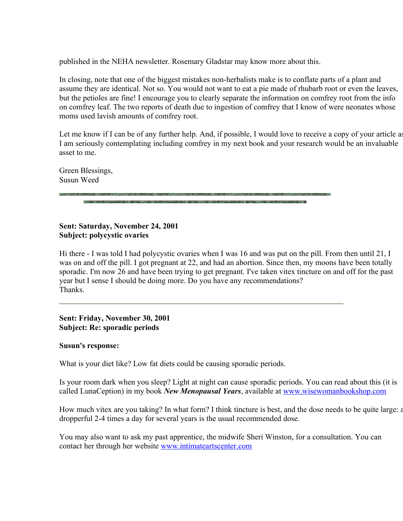published in the NEHA newsletter. Rosemary Gladstar may know more about this.

In closing, note that one of the biggest mistakes non-herbalists make is to conflate parts of a plant and assume they are identical. Not so. You would not want to eat a pie made of rhubarb root or even the leaves, but the petioles are fine! I encourage you to clearly separate the information on comfrey root from the info on comfrey leaf. The two reports of death due to ingestion of comfrey that I know of were neonates whose moms used lavish amounts of comfrey root.

Let me know if I can be of any further help. And, if possible, I would love to receive a copy of your article as I am seriously contemplating including comfrey in my next book and your research would be an invaluable asset to me.

Green Blessings, Susun Weed

**Sent: Saturday, November 24, 2001 Subject: polycystic ovaries**

Hi there - I was told I had polycystic ovaries when I was 16 and was put on the pill. From then until 21, I was on and off the pill. I got pregnant at 22, and had an abortion. Since then, my moons have been totally sporadic. I'm now 26 and have been trying to get pregnant. I've taken vitex tincture on and off for the past year but I sense I should be doing more. Do you have any recommendations? Thanks.

**Sent: Friday, November 30, 2001 Subject: Re: sporadic periods**

#### **Susun's response:**

What is your diet like? Low fat diets could be causing sporadic periods.

Is your room dark when you sleep? Light at night can cause sporadic periods. You can read about this (it is called LunaCeption) in my book *New Menopausal Years*, available at [www.wisewomanbookshop.com](http://www.herbalmedicinehealing.com/)

How much vitex are you taking? In what form? I think tincture is best, and the dose needs to be quite large: a dropperful 2-4 times a day for several years is the usual recommended dose.

You may also want to ask my past apprentice, the midwife Sheri Winston, for a consultation. You can contact her through her website [www.intimateartscenter.com](http://intimateartscenter.com/)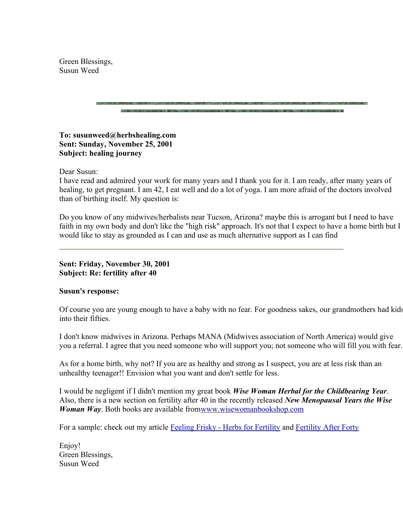Green Blessings, Susun Weed

**To: susunweed@herbshealing.com Sent: Sunday, November 25, 2001 Subject: healing journey**

Dear Susun:

I have read and admired your work for many years and I thank you for it. I am ready, after many years of healing, to get pregnant. I am 42, I eat well and do a lot of yoga. I am more afraid of the doctors involved than of birthing itself. My question is:

Do you know of any midwives/herbalists near Tucson, Arizona? maybe this is arrogant but I need to have faith in my own body and don't like the "high risk" approach. It's not that I expect to have a home birth but I would like to stay as grounded as I can and use as much alternative support as I can find

**Sent: Friday, November 30, 2001 Subject: Re: fertility after 40**

#### **Susun's response:**

Of course you are young enough to have a baby with no fear. For goodness sakes, our grandmothers had kids into their fifties.

I don't know midwives in Arizona. Perhaps MANA (Midwives association of North America) would give you a referral. I agree that you need someone who will support you; not someone who will fill you with fear.

As for a home birth, why not? If you are as healthy and strong as I suspect, you are at less risk than an unhealthy teenager!! Envision what you want and don't settle for less.

I would be negligent if I didn't mention my great book *Wise Woman Herbal for the Childbearing Year*. Also, there is a new section on fertility after 40 in the recently released *New Menopausal Years the Wise Woman Way*. Both books are available fro[mwww.wisewomanbookshop.com](http://www.herbalmedicinehealing.com/)

For a sample: check out my article [Feeling Frisky - Herbs for Fertility](http://www.susunweed.com/susunweedarticles.htm#an2) and [Fertility After Forty](http://www.susunweed.com/herbal_ezine/Weed%20newsletter_september%2001.htm#article)

Enjoy! Green Blessings, Susun Weed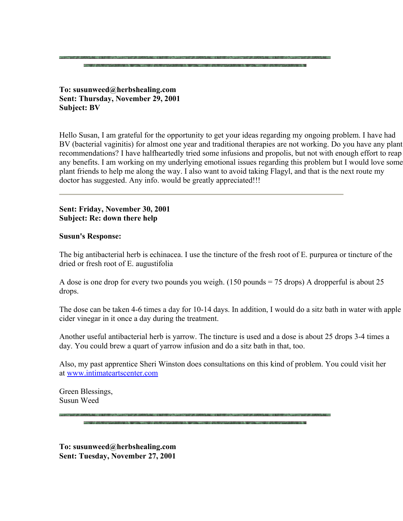**To: susunweed@herbshealing.com Sent: Thursday, November 29, 2001 Subject: BV**

Hello Susan, I am grateful for the opportunity to get your ideas regarding my ongoing problem. I have had BV (bacterial vaginitis) for almost one year and traditional therapies are not working. Do you have any plant recommendations? I have halfheartedly tried some infusions and propolis, but not with enough effort to reap any benefits. I am working on my underlying emotional issues regarding this problem but I would love some plant friends to help me along the way. I also want to avoid taking Flagyl, and that is the next route my doctor has suggested. Any info. would be greatly appreciated!!!

**Sent: Friday, November 30, 2001 Subject: Re: down there help**

#### **Susun's Response:**

The big antibacterial herb is echinacea. I use the tincture of the fresh root of E. purpurea or tincture of the dried or fresh root of E. augustifolia

A dose is one drop for every two pounds you weigh. (150 pounds = 75 drops) A dropperful is about 25 drops.

The dose can be taken 4-6 times a day for 10-14 days. In addition, I would do a sitz bath in water with apple cider vinegar in it once a day during the treatment.

Another useful antibacterial herb is yarrow. The tincture is used and a dose is about 25 drops 3-4 times a day. You could brew a quart of yarrow infusion and do a sitz bath in that, too.

Also, my past apprentice Sheri Winston does consultations on this kind of problem. You could visit her at www.intimateartscenter.com

G[reen Blessings,](http://www.susunweed.com/herbal_ezine/www.intimateartscenter.com) Susun Weed

**To: susunweed@herbshealing.com Sent: Tuesday, November 27, 2001**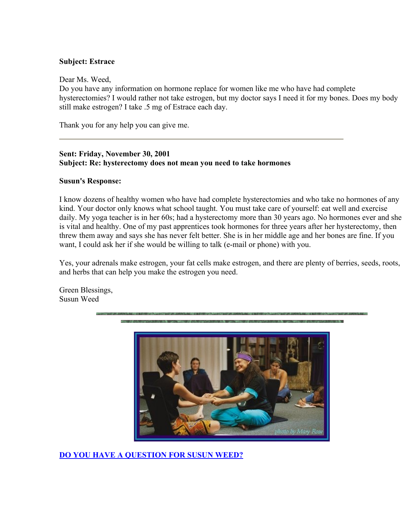#### **Subject: Estrace**

Dear Ms. Weed,

Do you have any information on hormone replace for women like me who have had complete hysterectomies? I would rather not take estrogen, but my doctor says I need it for my bones. Does my body still make estrogen? I take .5 mg of Estrace each day.

Thank you for any help you can give me.

#### **Sent: Friday, November 30, 2001 Subject: Re: hysterectomy does not mean you need to take hormones**

#### **Susun's Response:**

I know dozens of healthy women who have had complete hysterectomies and who take no hormones of any kind. Your doctor only knows what school taught. You must take care of yourself: eat well and exercise daily. My yoga teacher is in her 60s; had a hysterectomy more than 30 years ago. No hormones ever and she is vital and healthy. One of my past apprentices took hormones for three years after her hysterectomy, then threw them away and says she has never felt better. She is in her middle age and her bones are fine. If you want, I could ask her if she would be willing to talk (e-mail or phone) with you.

Yes, your adrenals make estrogen, your fat cells make estrogen, and there are plenty of berries, seeds, roots, and herbs that can help you make the estrogen you need.

Green Blessings, Susun Weed



**DO YOU HAVE A QUESTION FOR SUSUN WEED?**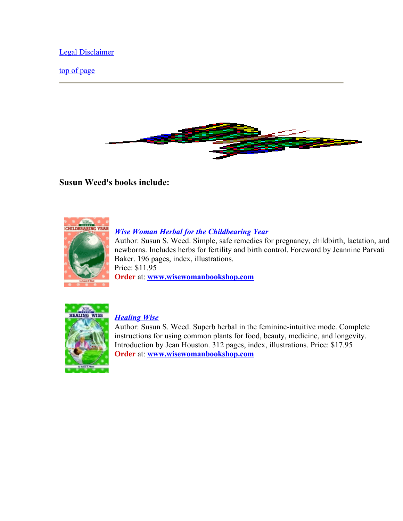Legal Disclaimer

#### top of page



### **Susun Weed's books include:**



#### *Wise Woman Herbal for the Childbearing Year*

Author: Susun S. Weed. Simple, safe remedies for pregnancy, childbirth, lactation, and newborns. Includes herbs for fertility and birth control. Foreword by Jeannine Parvati [Baker. 196 pages, index, illustrations.](http://www.herbalmedicinehealing.com/store/item_view.asp?estore_itemid=1000019) Price: \$11.95

**Order** at: **www.wisewomanbookshop.com**



#### *Healing Wise*

Author: Susun S. Weed. Superb herbal in the feminine-intuitive mode. Complete instructions for using common plants for food, beauty, medicine, and longevity. [Introduction b](http://www.herbalmedicinehealing.com/store/item_view.asp?estore_itemid=1000020)y Jean Houston. 312 pages, index, illustrations. Price: \$17.95 **Order** at: **www.wisewomanbookshop.com**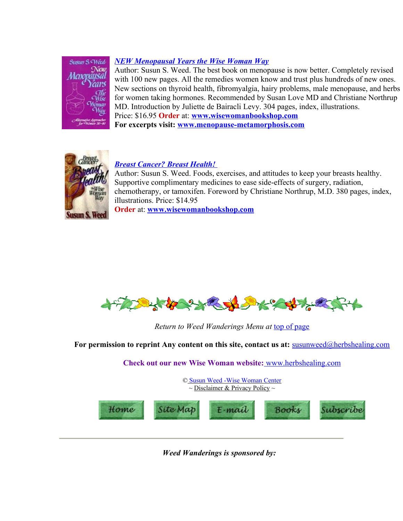

### *[NEW Menopausal Years the Wise Woman Way](http://www.herbalmedicinehealing.com/store/item_view.asp?estore_itemid=1000021)*

Author: Susun S. Weed. The best book on menopause is now better. Completely revised with 100 new pages. All the remedies women know and trust plus hundreds of new ones. New sections on thyroid health, fibromyalgia, hairy problems, male menopause, and herbs for women taking hormones. Recommended by Susan Love MD and Christiane Northrup MD. Introduction by Juliette de Bairacli Levy. 304 pages, index, illustrations. Price: \$16.95 **Order** at: **[www.wisewomanbookshop.com](http://www.herbalmedicinehealing.com/) For excerpts visit: [www.menopause-metamorphosis.com](http://www.menopause-metamorphosis.com/)**



# *[Breast Cancer? Breast Health!](http://www.herbalmedicinehealing.com/store/item_view.asp?estore_itemid=1000022)*

Author: Susun S. Weed. Foods, exercises, and attitudes to keep your breasts healthy. Supportive complimentary medicines to ease side-effects of surgery, radiation, chemotherapy, or tamoxifen. Foreword by Christiane Northrup, M.D. 380 pages, index, illustrations. Price: \$14.95 **Order** at: **[www.wisewomanbookshop.com](http://www.herbalmedicinehealing.com/)**



*Return to Weed Wanderings Menu at* [top of page](http://www.susunweed.com/herbal_ezine/Weed_letter_Jan-02.htm#top)

For permission to reprint Any content on this site, contact us at: [susunweed@herbshealing.com](mailto:susunweed@herbshealing.com)

**Check out our new Wise Woman website:** [www.herbshealing.com](http://www.herbshealing.com/)



*Weed Wanderings is sponsored by:*